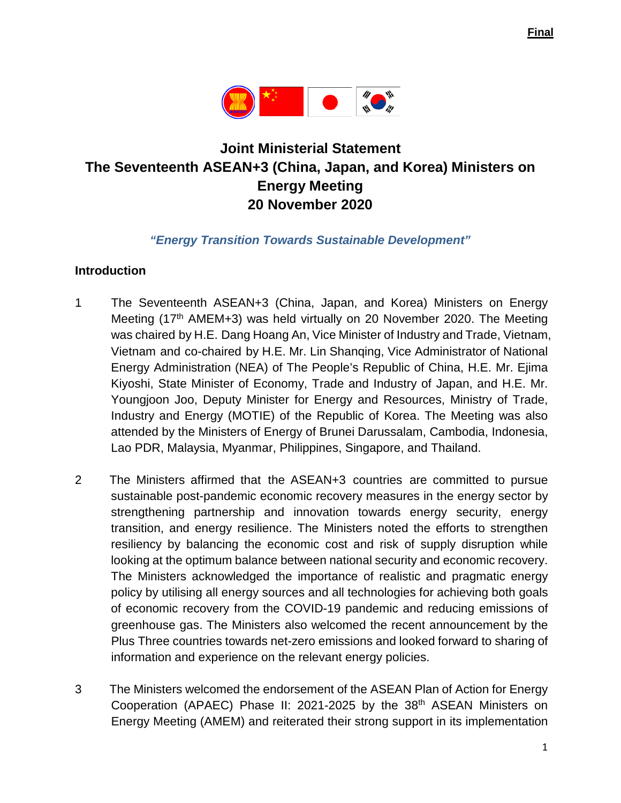

# **Joint Ministerial Statement The Seventeenth ASEAN+3 (China, Japan, and Korea) Ministers on Energy Meeting 20 November 2020**

#### *"Energy Transition Towards Sustainable Development"*

#### **Introduction**

- 1 The Seventeenth ASEAN+3 (China, Japan, and Korea) Ministers on Energy Meeting (17<sup>th</sup> AMEM+3) was held virtually on 20 November 2020. The Meeting was chaired by H.E. Dang Hoang An, Vice Minister of Industry and Trade, Vietnam, Vietnam and co-chaired by H.E. Mr. Lin Shanqing, Vice Administrator of National Energy Administration (NEA) of The People's Republic of China, H.E. Mr. Ejima Kiyoshi, State Minister of Economy, Trade and Industry of Japan, and H.E. Mr. Youngjoon Joo, Deputy Minister for Energy and Resources, Ministry of Trade, Industry and Energy (MOTIE) of the Republic of Korea. The Meeting was also attended by the Ministers of Energy of Brunei Darussalam, Cambodia, Indonesia, Lao PDR, Malaysia, Myanmar, Philippines, Singapore, and Thailand.
- 2 The Ministers affirmed that the ASEAN+3 countries are committed to pursue sustainable post-pandemic economic recovery measures in the energy sector by strengthening partnership and innovation towards energy security, energy transition, and energy resilience. The Ministers noted the efforts to strengthen resiliency by balancing the economic cost and risk of supply disruption while looking at the optimum balance between national security and economic recovery. The Ministers acknowledged the importance of realistic and pragmatic energy policy by utilising all energy sources and all technologies for achieving both goals of economic recovery from the COVID-19 pandemic and reducing emissions of greenhouse gas. The Ministers also welcomed the recent announcement by the Plus Three countries towards net-zero emissions and looked forward to sharing of information and experience on the relevant energy policies.
- 3 The Ministers welcomed the endorsement of the ASEAN Plan of Action for Energy Cooperation (APAEC) Phase II: 2021-2025 by the 38<sup>th</sup> ASEAN Ministers on Energy Meeting (AMEM) and reiterated their strong support in its implementation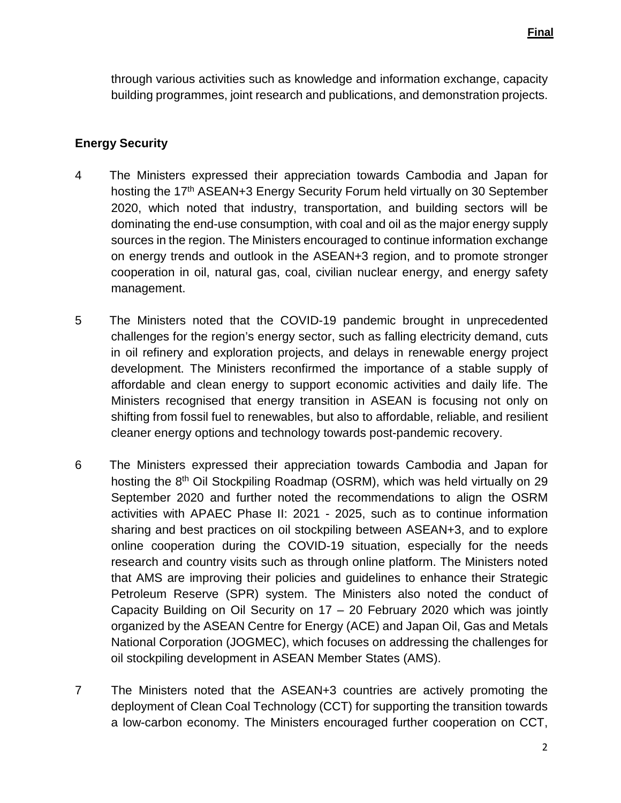through various activities such as knowledge and information exchange, capacity building programmes, joint research and publications, and demonstration projects.

#### **Energy Security**

- 4 The Ministers expressed their appreciation towards Cambodia and Japan for hosting the 17<sup>th</sup> ASEAN+3 Energy Security Forum held virtually on 30 September 2020, which noted that industry, transportation, and building sectors will be dominating the end-use consumption, with coal and oil as the major energy supply sources in the region. The Ministers encouraged to continue information exchange on energy trends and outlook in the ASEAN+3 region, and to promote stronger cooperation in oil, natural gas, coal, civilian nuclear energy, and energy safety management.
- 5 The Ministers noted that the COVID-19 pandemic brought in unprecedented challenges for the region's energy sector, such as falling electricity demand, cuts in oil refinery and exploration projects, and delays in renewable energy project development. The Ministers reconfirmed the importance of a stable supply of affordable and clean energy to support economic activities and daily life. The Ministers recognised that energy transition in ASEAN is focusing not only on shifting from fossil fuel to renewables, but also to affordable, reliable, and resilient cleaner energy options and technology towards post-pandemic recovery.
- 6 The Ministers expressed their appreciation towards Cambodia and Japan for hosting the 8<sup>th</sup> Oil Stockpiling Roadmap (OSRM), which was held virtually on 29 September 2020 and further noted the recommendations to align the OSRM activities with APAEC Phase II: 2021 - 2025, such as to continue information sharing and best practices on oil stockpiling between ASEAN+3, and to explore online cooperation during the COVID-19 situation, especially for the needs research and country visits such as through online platform. The Ministers noted that AMS are improving their policies and guidelines to enhance their Strategic Petroleum Reserve (SPR) system. The Ministers also noted the conduct of Capacity Building on Oil Security on 17 – 20 February 2020 which was jointly organized by the ASEAN Centre for Energy (ACE) and Japan Oil, Gas and Metals National Corporation (JOGMEC), which focuses on addressing the challenges for oil stockpiling development in ASEAN Member States (AMS).
- 7 The Ministers noted that the ASEAN+3 countries are actively promoting the deployment of Clean Coal Technology (CCT) for supporting the transition towards a low-carbon economy. The Ministers encouraged further cooperation on CCT,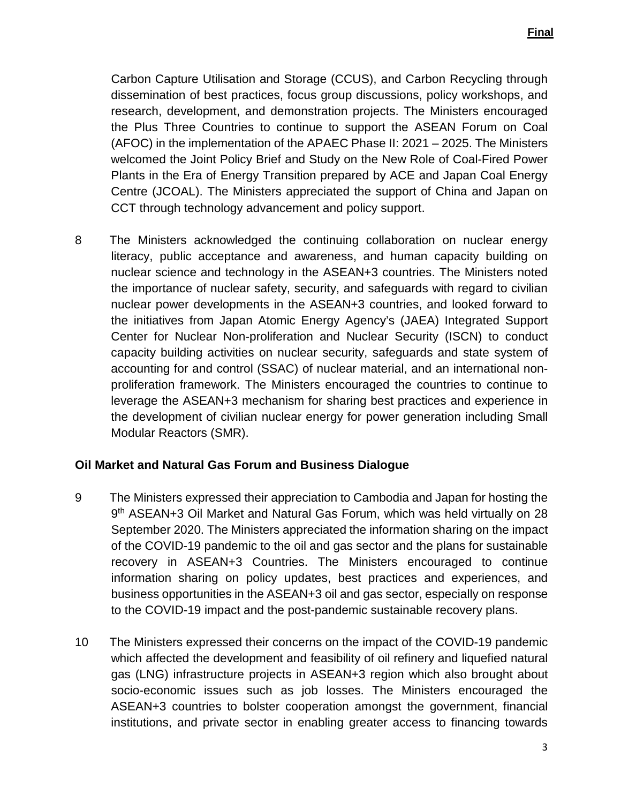Carbon Capture Utilisation and Storage (CCUS), and Carbon Recycling through dissemination of best practices, focus group discussions, policy workshops, and research, development, and demonstration projects. The Ministers encouraged the Plus Three Countries to continue to support the ASEAN Forum on Coal (AFOC) in the implementation of the APAEC Phase II: 2021 – 2025. The Ministers welcomed the Joint Policy Brief and Study on the New Role of Coal-Fired Power Plants in the Era of Energy Transition prepared by ACE and Japan Coal Energy Centre (JCOAL). The Ministers appreciated the support of China and Japan on CCT through technology advancement and policy support.

8 The Ministers acknowledged the continuing collaboration on nuclear energy literacy, public acceptance and awareness, and human capacity building on nuclear science and technology in the ASEAN+3 countries. The Ministers noted the importance of nuclear safety, security, and safeguards with regard to civilian nuclear power developments in the ASEAN+3 countries, and looked forward to the initiatives from Japan Atomic Energy Agency's (JAEA) Integrated Support Center for Nuclear Non-proliferation and Nuclear Security (ISCN) to conduct capacity building activities on nuclear security, safeguards and state system of accounting for and control (SSAC) of nuclear material, and an international nonproliferation framework. The Ministers encouraged the countries to continue to leverage the ASEAN+3 mechanism for sharing best practices and experience in the development of civilian nuclear energy for power generation including Small Modular Reactors (SMR).

#### **Oil Market and Natural Gas Forum and Business Dialogue**

- 9 The Ministers expressed their appreciation to Cambodia and Japan for hosting the 9<sup>th</sup> ASEAN+3 Oil Market and Natural Gas Forum, which was held virtually on 28 September 2020. The Ministers appreciated the information sharing on the impact of the COVID-19 pandemic to the oil and gas sector and the plans for sustainable recovery in ASEAN+3 Countries. The Ministers encouraged to continue information sharing on policy updates, best practices and experiences, and business opportunities in the ASEAN+3 oil and gas sector, especially on response to the COVID-19 impact and the post-pandemic sustainable recovery plans.
- 10 The Ministers expressed their concerns on the impact of the COVID-19 pandemic which affected the development and feasibility of oil refinery and liquefied natural gas (LNG) infrastructure projects in ASEAN+3 region which also brought about socio-economic issues such as job losses. The Ministers encouraged the ASEAN+3 countries to bolster cooperation amongst the government, financial institutions, and private sector in enabling greater access to financing towards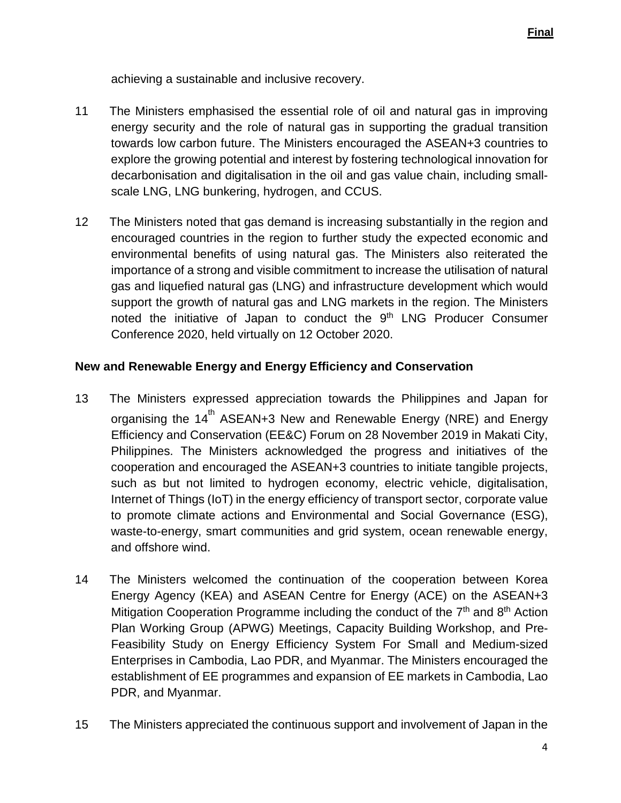achieving a sustainable and inclusive recovery.

- 11 The Ministers emphasised the essential role of oil and natural gas in improving energy security and the role of natural gas in supporting the gradual transition towards low carbon future. The Ministers encouraged the ASEAN+3 countries to explore the growing potential and interest by fostering technological innovation for decarbonisation and digitalisation in the oil and gas value chain, including smallscale LNG, LNG bunkering, hydrogen, and CCUS.
- 12 The Ministers noted that gas demand is increasing substantially in the region and encouraged countries in the region to further study the expected economic and environmental benefits of using natural gas. The Ministers also reiterated the importance of a strong and visible commitment to increase the utilisation of natural gas and liquefied natural gas (LNG) and infrastructure development which would support the growth of natural gas and LNG markets in the region. The Ministers noted the initiative of Japan to conduct the 9<sup>th</sup> LNG Producer Consumer Conference 2020, held virtually on 12 October 2020.

### **New and Renewable Energy and Energy Efficiency and Conservation**

- 13 The Ministers expressed appreciation towards the Philippines and Japan for organising the  $14<sup>th</sup>$  ASEAN+3 New and Renewable Energy (NRE) and Energy Efficiency and Conservation (EE&C) Forum on 28 November 2019 in Makati City, Philippines. The Ministers acknowledged the progress and initiatives of the cooperation and encouraged the ASEAN+3 countries to initiate tangible projects, such as but not limited to hydrogen economy, electric vehicle, digitalisation, Internet of Things (IoT) in the energy efficiency of transport sector, corporate value to promote climate actions and Environmental and Social Governance (ESG), waste-to-energy, smart communities and grid system, ocean renewable energy, and offshore wind.
- 14 The Ministers welcomed the continuation of the cooperation between Korea Energy Agency (KEA) and ASEAN Centre for Energy (ACE) on the ASEAN+3 Mitigation Cooperation Programme including the conduct of the  $7<sup>th</sup>$  and  $8<sup>th</sup>$  Action Plan Working Group (APWG) Meetings, Capacity Building Workshop, and Pre-Feasibility Study on Energy Efficiency System For Small and Medium-sized Enterprises in Cambodia, Lao PDR, and Myanmar. The Ministers encouraged the establishment of EE programmes and expansion of EE markets in Cambodia, Lao PDR, and Myanmar.
- 15 The Ministers appreciated the continuous support and involvement of Japan in the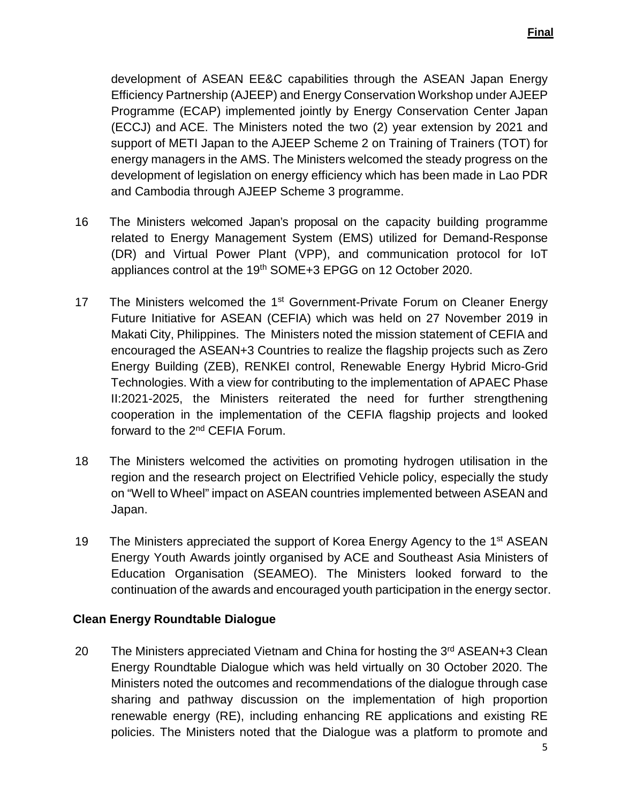development of ASEAN EE&C capabilities through the ASEAN Japan Energy Efficiency Partnership (AJEEP) and Energy Conservation Workshop under AJEEP Programme (ECAP) implemented jointly by Energy Conservation Center Japan (ECCJ) and ACE. The Ministers noted the two (2) year extension by 2021 and support of METI Japan to the AJEEP Scheme 2 on Training of Trainers (TOT) for energy managers in the AMS. The Ministers welcomed the steady progress on the development of legislation on energy efficiency which has been made in Lao PDR and Cambodia through AJEEP Scheme 3 programme.

- 16 The Ministers welcomed Japan's proposal on the capacity building programme related to Energy Management System (EMS) utilized for Demand-Response (DR) and Virtual Power Plant (VPP), and communication protocol for IoT appliances control at the 19<sup>th</sup> SOME+3 EPGG on 12 October 2020.
- 17 The Ministers welcomed the 1<sup>st</sup> Government-Private Forum on Cleaner Energy Future Initiative for ASEAN (CEFIA) which was held on 27 November 2019 in Makati City, Philippines. The Ministers noted the mission statement of CEFIA and encouraged the ASEAN+3 Countries to realize the flagship projects such as Zero Energy Building (ZEB), RENKEI control, Renewable Energy Hybrid Micro-Grid Technologies. With a view for contributing to the implementation of APAEC Phase II:2021-2025, the Ministers reiterated the need for further strengthening cooperation in the implementation of the CEFIA flagship projects and looked forward to the 2nd CEFIA Forum.
- 18 The Ministers welcomed the activities on promoting hydrogen utilisation in the region and the research project on Electrified Vehicle policy, especially the study on "Well to Wheel" impact on ASEAN countries implemented between ASEAN and Japan.
- 19 The Ministers appreciated the support of Korea Energy Agency to the 1<sup>st</sup> ASEAN Energy Youth Awards jointly organised by ACE and Southeast Asia Ministers of Education Organisation (SEAMEO). The Ministers looked forward to the continuation of the awards and encouraged youth participation in the energy sector.

#### **Clean Energy Roundtable Dialogue**

20 The Ministers appreciated Vietnam and China for hosting the 3<sup>rd</sup> ASEAN+3 Clean Energy Roundtable Dialogue which was held virtually on 30 October 2020. The Ministers noted the outcomes and recommendations of the dialogue through case sharing and pathway discussion on the implementation of high proportion renewable energy (RE), including enhancing RE applications and existing RE policies. The Ministers noted that the Dialogue was a platform to promote and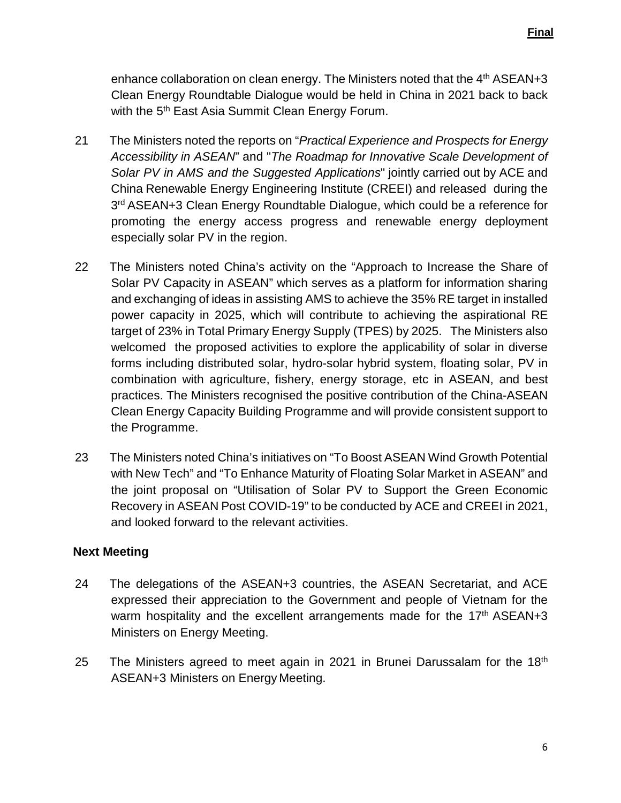enhance collaboration on clean energy. The Ministers noted that the 4<sup>th</sup> ASEAN+3 Clean Energy Roundtable Dialogue would be held in China in 2021 back to back with the 5<sup>th</sup> East Asia Summit Clean Energy Forum.

- 21 The Ministers noted the reports on "*Practical Experience and Prospects for Energy Accessibility in ASEAN*" and "*The Roadmap for Innovative Scale Development of Solar PV in AMS and the Suggested Applications*" jointly carried out by ACE and China Renewable Energy Engineering Institute (CREEI) and released during the 3<sup>rd</sup> ASEAN+3 Clean Energy Roundtable Dialogue, which could be a reference for promoting the energy access progress and renewable energy deployment especially solar PV in the region.
- 22 The Ministers noted China's activity on the "Approach to Increase the Share of Solar PV Capacity in ASEAN" which serves as a platform for information sharing and exchanging of ideas in assisting AMS to achieve the 35% RE target in installed power capacity in 2025, which will contribute to achieving the aspirational RE target of 23% in Total Primary Energy Supply (TPES) by 2025. The Ministers also welcomed the proposed activities to explore the applicability of solar in diverse forms including distributed solar, hydro-solar hybrid system, floating solar, PV in combination with agriculture, fishery, energy storage, etc in ASEAN, and best practices. The Ministers recognised the positive contribution of the China-ASEAN Clean Energy Capacity Building Programme and will provide consistent support to the Programme.
- 23 The Ministers noted China's initiatives on "To Boost ASEAN Wind Growth Potential with New Tech" and "To Enhance Maturity of Floating Solar Market in ASEAN" and the joint proposal on "Utilisation of Solar PV to Support the Green Economic Recovery in ASEAN Post COVID-19" to be conducted by ACE and CREEI in 2021, and looked forward to the relevant activities.

#### **Next Meeting**

- 24 The delegations of the ASEAN+3 countries, the ASEAN Secretariat, and ACE expressed their appreciation to the Government and people of Vietnam for the warm hospitality and the excellent arrangements made for the 17<sup>th</sup> ASEAN+3 Ministers on Energy Meeting.
- 25 The Ministers agreed to meet again in 2021 in Brunei Darussalam for the 18<sup>th</sup> ASEAN+3 Ministers on Energy Meeting.